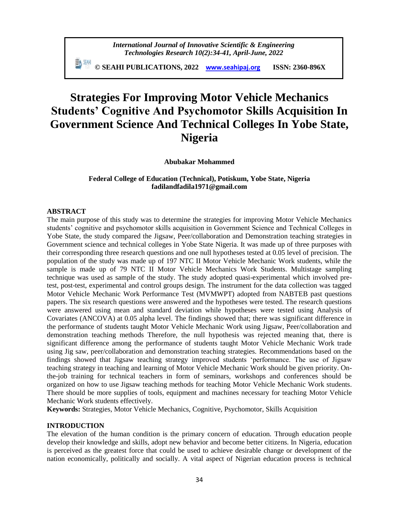**© SEAHI PUBLICATIONS, 2022 [www.seahipaj.org](http://www.seahipaj.org/) ISSN: 2360-896X**

# **Strategies For Improving Motor Vehicle Mechanics Students' Cognitive And Psychomotor Skills Acquisition In Government Science And Technical Colleges In Yobe State, Nigeria**

**Abubakar Mohammed**

### **Federal College of Education (Technical), Potiskum, Yobe State, Nigeria fadilandfadila1971@gmail.com**

#### **ABSTRACT**

The main purpose of this study was to determine the strategies for improving Motor Vehicle Mechanics students' cognitive and psychomotor skills acquisition in Government Science and Technical Colleges in Yobe State, the study compared the Jigsaw, Peer/collaboration and Demonstration teaching strategies in Government science and technical colleges in Yobe State Nigeria. It was made up of three purposes with their corresponding three research questions and one null hypotheses tested at 0.05 level of precision. The population of the study was made up of 197 NTC II Motor Vehicle Mechanic Work students, while the sample is made up of 79 NTC II Motor Vehicle Mechanics Work Students. Multistage sampling technique was used as sample of the study. The study adopted quasi-experimental which involved pretest, post-test, experimental and control groups design. The instrument for the data collection was tagged Motor Vehicle Mechanic Work Performance Test (MVMWPT) adopted from NABTEB past questions papers. The six research questions were answered and the hypotheses were tested. The research questions were answered using mean and standard deviation while hypotheses were tested using Analysis of Covariates (ANCOVA) at 0.05 alpha level. The findings showed that; there was significant difference in the performance of students taught Motor Vehicle Mechanic Work using Jigsaw, Peer/collaboration and demonstration teaching methods Therefore, the null hypothesis was rejected meaning that, there is significant difference among the performance of students taught Motor Vehicle Mechanic Work trade using Jig saw, peer/collaboration and demonstration teaching strategies. Recommendations based on the findings showed that Jigsaw teaching strategy improved students 'performance. The use of Jigsaw teaching strategy in teaching and learning of Motor Vehicle Mechanic Work should be given priority. Onthe-job training for technical teachers in form of seminars, workshops and conferences should be organized on how to use Jigsaw teaching methods for teaching Motor Vehicle Mechanic Work students. There should be more supplies of tools, equipment and machines necessary for teaching Motor Vehicle Mechanic Work students effectively.

**Keywords:** Strategies, Motor Vehicle Mechanics, Cognitive, Psychomotor, Skills Acquisition

#### **INTRODUCTION**

The elevation of the human condition is the primary concern of education. Through education people develop their knowledge and skills, adopt new behavior and become better citizens. In Nigeria, education is perceived as the greatest force that could be used to achieve desirable change or development of the nation economically, politically and socially. A vital aspect of Nigerian education process is technical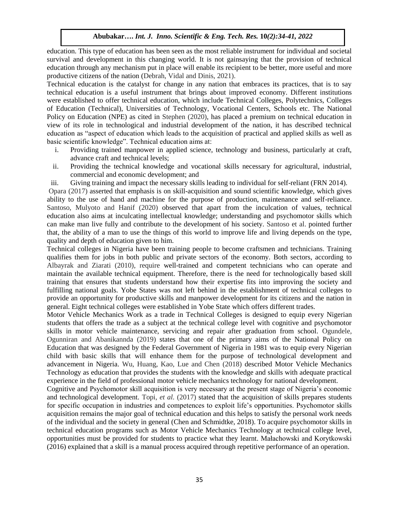education. This type of education has been seen as the most reliable instrument for individual and societal survival and development in this changing world. It is not gainsaying that the provision of technical education through any mechanism put in place will enable its recipient to be better, more useful and more productive citizens of the nation (Debrah, Vidal and Dinis, 2021).

Technical education is the catalyst for change in any nation that embraces its practices, that is to say technical education is a useful instrument that brings about improved economy. Different institutions were established to offer technical education, which include Technical Colleges, Polytechnics, Colleges of Education (Technical), Universities of Technology, Vocational Centers, Schools etc. The National Policy on Education (NPE) as cited in Stephen (2020), has placed a premium on technical education in view of its role in technological and industrial development of the nation, it has described technical education as "aspect of education which leads to the acquisition of practical and applied skills as well as basic scientific knowledge". Technical education aims at:

- i. Providing trained manpower in applied science, technology and business, particularly at craft, advance craft and technical levels;
- ii. Providing the technical knowledge and vocational skills necessary for agricultural, industrial, commercial and economic development; and
- iii. Giving training and impact the necessary skills leading to individual for self-reliant (FRN 2014).

Opara (2017) asserted that emphasis is on skill-acquisition and sound scientific knowledge, which gives ability to the use of hand and machine for the purpose of production, maintenance and self-reliance. Santoso, Mulyoto and Hanif (2020) observed that apart from the inculcation of values, technical education also aims at inculcating intellectual knowledge; understanding and psychomotor skills which can make man live fully and contribute to the development of his society. Santoso et al. pointed further that, the ability of a man to use the things of this world to improve life and living depends on the type, quality and depth of education given to him.

Technical colleges in Nigeria have been training people to become craftsmen and technicians. Training qualifies them for jobs in both public and private sectors of the economy. Both sectors, according to Albayrak and Ziarati (2010), require well-trained and competent technicians who can operate and maintain the available technical equipment. Therefore, there is the need for technologically based skill training that ensures that students understand how their expertise fits into improving the society and fulfilling national goals. Yobe States was not left behind in the establishment of technical colleges to provide an opportunity for productive skills and manpower development for its citizens and the nation in general. Eight technical colleges were established in Yobe State which offers different trades.

Motor Vehicle Mechanics Work as a trade in Technical Colleges is designed to equip every Nigerian students that offers the trade as a subject at the technical college level with cognitive and psychomotor skills in motor vehicle maintenance, servicing and repair after graduation from school. Ogundele, Ogunniran and Abanikannda (2019) states that one of the primary aims of the National Policy on Education that was designed by the Federal Government of Nigeria in 1981 was to equip every Nigerian child with basic skills that will enhance them for the purpose of technological development and advancement in Nigeria. Wu, Huang, Kao, Lue and Chen (2018) described Motor Vehicle Mechanics Technology as education that provides the students with the knowledge and skills with adequate practical experience in the field of professional motor vehicle mechanics technology for national development.

Cognitive and Psychomotor skill acquisition is very necessary at the present stage of Nigeria's economic and technological development. Topi, *et al.* (2017) stated that the acquisition of skills prepares students for specific occupation in industries and competences to exploit life's opportunities. Psychomotor skills acquisition remains the major goal of technical education and this helps to satisfy the personal work needs of the individual and the society in general (Chen and Schmidtke, 2018). To acquire psychomotor skills in technical education programs such as Motor Vehicle Mechanics Technology at technical college level, opportunities must be provided for students to practice what they learnt. Małachowski and Korytkowski (2016) explained that a skill is a manual process acquired through repetitive performance of an operation.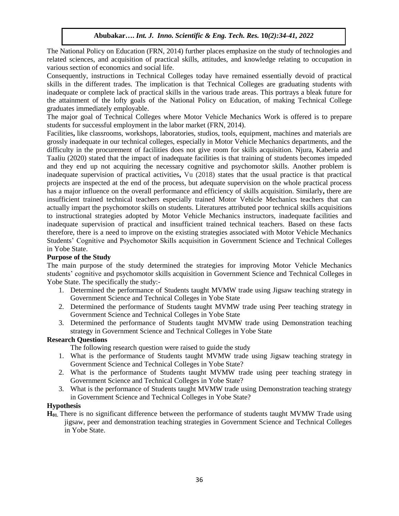The National Policy on Education (FRN, 2014) further places emphasize on the study of technologies and related sciences, and acquisition of practical skills, attitudes, and knowledge relating to occupation in various section of economics and social life.

Consequently, instructions in Technical Colleges today have remained essentially devoid of practical skills in the different trades. The implication is that Technical Colleges are graduating students with inadequate or complete lack of practical skills in the various trade areas. This portrays a bleak future for the attainment of the lofty goals of the National Policy on Education, of making Technical College graduates immediately employable.

The major goal of Technical Colleges where Motor Vehicle Mechanics Work is offered is to prepare students for successful employment in the labor market (FRN, 2014).

Facilities**,** like classrooms, workshops, laboratories, studios, tools, equipment, machines and materials are grossly inadequate in our technical colleges, especially in Motor Vehicle Mechanics departments, and the difficulty in the procurement of facilities does not give room for skills acquisition. Njura, Kaberia and Taaliu (2020) stated that the impact of inadequate facilities is that training of students becomes impeded and they end up not acquiring the necessary cognitive and psychomotor skills. Another problem is inadequate supervision of practical activities**,** Vu (2018) states that the usual practice is that practical projects are inspected at the end of the process, but adequate supervision on the whole practical process has a major influence on the overall performance and efficiency of skills acquisition. Similarly**,** there are insufficient trained technical teachers especially trained Motor Vehicle Mechanics teachers that can actually impart the psychomotor skills on students. Literatures attributed poor technical skills acquisitions to instructional strategies adopted by Motor Vehicle Mechanics instructors, inadequate facilities and inadequate supervision of practical and insufficient trained technical teachers. Based on these facts therefore, there is a need to improve on the existing strategies associated with Motor Vehicle Mechanics Students' Cognitive and Psychomotor Skills acquisition in Government Science and Technical Colleges in Yobe State.

#### **Purpose of the Study**

The main purpose of the study determined the strategies for improving Motor Vehicle Mechanics students' cognitive and psychomotor skills acquisition in Government Science and Technical Colleges in Yobe State. The specifically the study:-

- 1. Determined the performance of Students taught MVMW trade using Jigsaw teaching strategy in Government Science and Technical Colleges in Yobe State
- 2. Determined the performance of Students taught MVMW trade using Peer teaching strategy in Government Science and Technical Colleges in Yobe State
- 3. Determined the performance of Students taught MVMW trade using Demonstration teaching strategy in Government Science and Technical Colleges in Yobe State

#### **Research Questions**

The following research question were raised to guide the study

- 1. What is the performance of Students taught MVMW trade using Jigsaw teaching strategy in Government Science and Technical Colleges in Yobe State?
- 2. What is the performance of Students taught MVMW trade using peer teaching strategy in Government Science and Technical Colleges in Yobe State?
- 3. What is the performance of Students taught MVMW trade using Demonstration teaching strategy in Government Science and Technical Colleges in Yobe State?

#### **Hypothesis**

**H01.** There is no significant difference between the performance of students taught MVMW Trade using jigsaw, peer and demonstration teaching strategies in Government Science and Technical Colleges in Yobe State.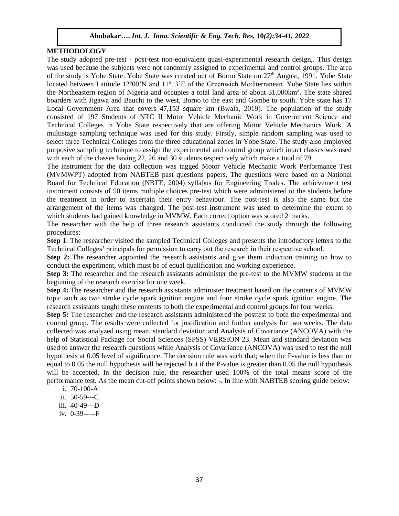# **METHODOLOGY**

The study adopted pre-test - post-test non-equivalent quasi-experimental research design,. This design was used because the subjects were not randomly assigned to experimental and control groups. The area of the study is Yobe State. Yobe State was created out of Borno State on 27<sup>th</sup> August, 1991. Yobe State located between Latitude  $12^{\circ}00'$ N and  $11^{\circ}13'$ E of the Greenwich Mediterranean. Yobe State lies within the Northeastern region of Nigeria and occupies a total land area of about 31,000km<sup>2</sup> . The state shared boarders with Jigawa and Bauchi to the west, Borno to the east and Gombe to south. Yobe state has 17 Local Government Area that covers 47,153 square km (Bwala, 2019). The population of the study consisted of 197 Students of NTC II Motor Vehicle Mechanic Work in Government Science and Technical Colleges in Yobe State respectively that are offering Motor Vehicle Mechanics Work. A multistage sampling technique was used for this study. Firstly, simple random sampling was used to select three Technical Colleges from the three educational zones in Yobe State. The study also employed purposive sampling technique to assign the experimental and control group which intact classes was used with each of the classes having 22, 26 and 30 students respectively which make a total of 79.

The instrument for the data collection was tagged Motor Vehicle Mechanic Work Performance Test (MVMWPT) adopted from NABTEB past questions papers. The questions were based on a National Board for Technical Education (NBTE, 2004) syllabus for Engineering Trades. The achievement test instrument consists of 50 items multiple choices pre-test which were administered to the students before the treatment in order to ascertain their entry behaviour. The post-test is also the same but the arrangement of the items was changed. The post-test instrument was used to determine the extent to which students had gained knowledge in MVMW. Each correct option was scored 2 marks.

The researcher with the help of three research assistants conducted the study through the following procedures:

**Step 1**: The researcher visited the sampled Technical Colleges and presents the introductory letters to the Technical Colleges' principals for permission to carry out the research in their respective school.

**Step 2:** The researcher appointed the research assistants and give them induction training on how to conduct the experiment, which must be of equal qualification and working experience.

**Step 3:** The researcher and the research assistants administer the pre-test to the MVMW students at the beginning of the research exercise for one week.

**Step 4:** The researcher and the research assistants administer treatment based on the contents of MVMW topic such as two stroke cycle spark ignition engine and four stroke cycle spark ignition engine. The research assistants taught these contents to both the experimental and control groups for four weeks.

**Step 5:** The researcher and the research assistants administered the posttest to both the experimental and control group. The results were collected for justification and further analysis for two weeks. The data collected was analyzed using mean, standard deviation and Analysis of Covariance (ANCOVA) with the help of Statistical Package for Social Sciences (SPSS) VERSION 23. Mean and standard deviation was used to answer the research questions while Analysis of Covariance (ANCOVA) was used to test the null hypothesis at 0.05 level of significance. The decision rule was such that; when the P-value is less than or equal to 0.05 the null hypothesis will be rejected but if the P-value is greater than 0.05 the null hypothesis will be accepted. In the decision rule, the researcher used 100% of the total means score of the performance test. As the mean cut-off points shown below: -. In line with NABTEB scoring guide below:

- i. 70-100-A
- ii. 50-59---C
- iii. 40-49---D
- iv. 0-39-----F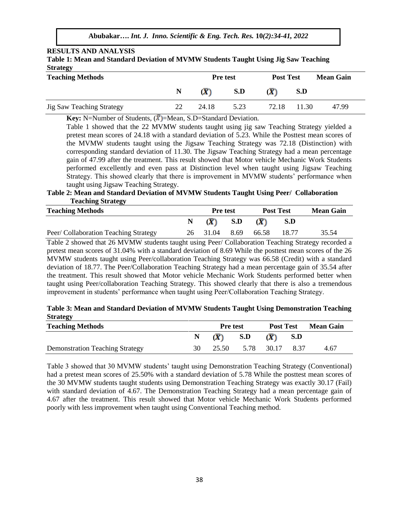# **RESULTS AND ANALYSIS**

| Table 1: Mean and Standard Deviation of MVMW Students Taught Using Jig Saw Teaching |  |  |  |
|-------------------------------------------------------------------------------------|--|--|--|
| <b>Strategy</b>                                                                     |  |  |  |

| <b>Teaching Methods</b>          |    | <b>Pre</b> test | <b>Post Test</b> |       | <b>Mean Gain</b> |       |
|----------------------------------|----|-----------------|------------------|-------|------------------|-------|
|                                  | N  | (X)             | S.D              | (X)   | S.D              |       |
| <b>Jig Saw Teaching Strategy</b> | 22 | 24.18           | 5.23             | 72.18 | 11.30            | 47.99 |

**Key:** N=Number of Students,  $(\bar{X})$ =Mean, S.D=Standard Deviation.

Table 1 showed that the 22 MVMW students taught using jig saw Teaching Strategy yielded a pretest mean scores of 24.18 with a standard deviation of 5.23. While the Posttest mean scores of the MVMW students taught using the Jigsaw Teaching Strategy was 72.18 (Distinction) with corresponding standard deviation of 11.30. The Jigsaw Teaching Strategy had a mean percentage gain of 47.99 after the treatment. This result showed that Motor vehicle Mechanic Work Students performed excellently and even pass at Distinction level when taught using Jigsaw Teaching Strategy. This showed clearly that there is improvement in MVMW students' performance when taught using Jigsaw Teaching Strategy.

**Table 2: Mean and Standard Deviation of MVMW Students Taught Using Peer/ Collaboration Teaching Strategy**

| <b>Teaching Methods</b>               | <b>Pre</b> test |                       | <b>Post Test</b> |       | <b>Mean Gain</b> |       |
|---------------------------------------|-----------------|-----------------------|------------------|-------|------------------|-------|
|                                       |                 | $(\overline{\bm{X}})$ | S.D              | (X)   | S.D              |       |
| Peer/ Collaboration Teaching Strategy | 26              | 31.04                 | 8.69             | 66.58 | 18.77            | 35.54 |

Table 2 showed that 26 MVMW students taught using Peer/ Collaboration Teaching Strategy recorded a pretest mean scores of 31.04% with a standard deviation of 8.69 While the posttest mean scores of the 26 MVMW students taught using Peer/collaboration Teaching Strategy was 66.58 (Credit) with a standard deviation of 18.77. The Peer/Collaboration Teaching Strategy had a mean percentage gain of 35.54 after the treatment. This result showed that Motor vehicle Mechanic Work Students performed better when taught using Peer/collaboration Teaching Strategy. This showed clearly that there is also a tremendous improvement in students' performance when taught using Peer/Collaboration Teaching Strategy.

# **Table 3: Mean and Standard Deviation of MVMW Students Taught Using Demonstration Teaching Strategy**

| <b>Teaching Methods</b>                |    | <b>Pre</b> test    |                       | <b>Post Test</b>              |       | <b>Mean Gain</b> |
|----------------------------------------|----|--------------------|-----------------------|-------------------------------|-------|------------------|
|                                        |    | N $(\overline{X})$ | S.D                   | $(\overline{\boldsymbol{X}})$ | - S.D |                  |
| <b>Demonstration Teaching Strategy</b> | 30 |                    | 25.50 5.78 30.17 8.37 |                               |       | 4.67             |

Table 3 showed that 30 MVMW students' taught using Demonstration Teaching Strategy (Conventional) had a pretest mean scores of 25.50% with a standard deviation of 5.78 While the posttest mean scores of the 30 MVMW students taught students using Demonstration Teaching Strategy was exactly 30.17 (Fail) with standard deviation of 4.67. The Demonstration Teaching Strategy had a mean percentage gain of 4.67 after the treatment. This result showed that Motor vehicle Mechanic Work Students performed poorly with less improvement when taught using Conventional Teaching method.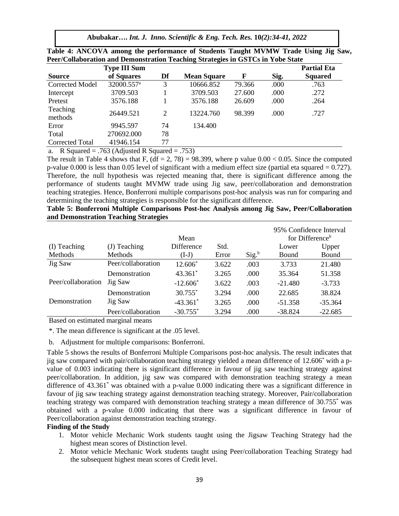|                        | <b>Type III Sum</b>    |    |                    |        |      | <b>Partial Eta</b> |
|------------------------|------------------------|----|--------------------|--------|------|--------------------|
| <b>Source</b>          | of Squares             | Df | <b>Mean Square</b> | F      | Sig. | <b>Squared</b>     |
| <b>Corrected Model</b> | 32000.557 <sup>a</sup> | 3  | 10666.852          | 79.366 | .000 | .763               |
| Intercept              | 3709.503               |    | 3709.503           | 27.600 | .000 | .272               |
| Pretest                | 3576.188               |    | 3576.188           | 26.609 | .000 | .264               |
| Teaching<br>methods    | 26449.521              | 2  | 13224.760          | 98.399 | .000 | .727               |
| Error                  | 9945.597               | 74 | 134.400            |        |      |                    |
| Total                  | 270692.000             | 78 |                    |        |      |                    |
| Corrected Total        | 41946.154              | 77 |                    |        |      |                    |

| Table 4: ANCOVA among the performance of Students Taught MVMW Trade Using Jig Saw, |  |  |  |
|------------------------------------------------------------------------------------|--|--|--|
| Peer/Collaboration and Demonstration Teaching Strategies in GSTCs in Yobe State    |  |  |  |

a. R Squared = .763 (Adjusted R Squared = .753)

The result in Table 4 shows that F,  $(df = 2, 78) = 98.399$ , where p value  $0.00 < 0.05$ . Since the computed p-value 0.000 is less than 0.05 level of significant with a medium effect size (partial eta squared = 0.727). Therefore, the null hypothesis was rejected meaning that, there is significant difference among the performance of students taught MVMW trade using Jig saw, peer/collaboration and demonstration teaching strategies. Hence, Bonferroni multiple comparisons post-hoc analysis was run for comparing and determining the teaching strategies is responsible for the significant difference.

**Table 5: Bonferroni Multiple Comparisons Post-hoc Analysis among Jig Saw, Peer/Collaboration and Demonstration Teaching Strategies**

|                    |                    | Mean                   |       |          | 95% Confidence Interval | for Difference <sup>b</sup> |
|--------------------|--------------------|------------------------|-------|----------|-------------------------|-----------------------------|
| (I) Teaching       | $(J)$ Teaching     | <b>Difference</b>      | Std.  |          | Lower                   | Upper                       |
| Methods            | <b>Methods</b>     | $(I-J)$                | Error | $Sig.^b$ | <b>Bound</b>            | Bound                       |
| Jig Saw            | Peer/collaboration | 12.606*                | 3.622 | .003     | 3.733                   | 21.480                      |
|                    | Demonstration      | $43.361*$              | 3.265 | .000     | 35.364                  | 51.358                      |
| Peer/collaboration | Jig Saw            | $-12.606*$             | 3.622 | .003     | $-21.480$               | $-3.733$                    |
|                    | Demonstration      | $30.755$ <sup>*</sup>  | 3.294 | .000     | 22.685                  | 38.824                      |
| Demonstration      | Jig Saw            | $-43.361$ <sup>*</sup> | 3.265 | .000     | $-51.358$               | $-35.364$                   |
|                    | Peer/collaboration | $-30.755$ <sup>*</sup> | 3.294 | .000     | $-38.824$               | $-22.685$                   |

Based on estimated marginal means

\*. The mean difference is significant at the .05 level.

b. Adjustment for multiple comparisons: Bonferroni.

Table 5 shows the results of Bonferroni Multiple Comparisons post-hoc analysis. The result indicates that jig saw compared with pair/collaboration teaching strategy yielded a mean difference of 12.606\* with a pvalue of 0.003 indicating there is significant difference in favour of jig saw teaching strategy against peer/collaboration. In addition, jig saw was compared with demonstration teaching strategy a mean difference of 43.361\* was obtained with a p-value 0.000 indicating there was a significant difference in favour of jig saw teaching strategy against demonstration teaching strategy. Moreover, Pair/collaboration teaching strategy was compared with demonstration teaching strategy a mean difference of 30.755\* was obtained with a p-value 0.000 indicating that there was a significant difference in favour of Peer/collaboration against demonstration teaching strategy.

#### **Finding of the Study**

- 1. Motor vehicle Mechanic Work students taught using the Jigsaw Teaching Strategy had the highest mean scores of Distinction level.
- 2. Motor vehicle Mechanic Work students taught using Peer/collaboration Teaching Strategy had the subsequent highest mean scores of Credit level.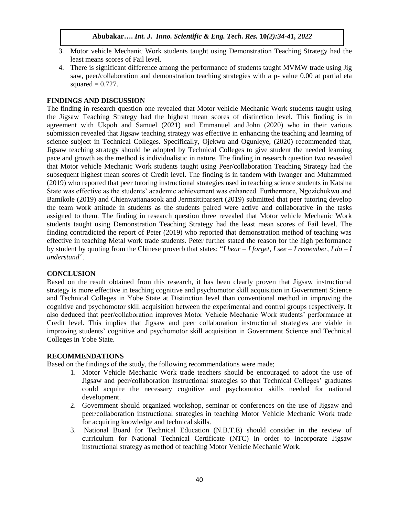- 3. Motor vehicle Mechanic Work students taught using Demonstration Teaching Strategy had the least means scores of Fail level.
- 4. There is significant difference among the performance of students taught MVMW trade using Jig saw, peer/collaboration and demonstration teaching strategies with a p- value 0.00 at partial eta squared  $= 0.727$ .

# **FINDINGS AND DISCUSSION**

The finding in research question one revealed that Motor vehicle Mechanic Work students taught using the Jigsaw Teaching Strategy had the highest mean scores of distinction level. This finding is in agreement with Ukpoh and Samuel (2021) and Emmanuel and John (2020) who in their various submission revealed that Jigsaw teaching strategy was effective in enhancing the teaching and learning of science subject in Technical Colleges. Specifically, Ojekwu and Ogunleye, (2020) recommended that, Jigsaw teaching strategy should be adopted by Technical Colleges to give student the needed learning pace and growth as the method is individualistic in nature. The finding in research question two revealed that Motor vehicle Mechanic Work students taught using Peer/collaboration Teaching Strategy had the subsequent highest mean scores of Credit level. The finding is in tandem with Iwanger and Muhammed (2019) who reported that peer tutoring instructional strategies used in teaching science students in Katsina State was effective as the students' academic achievement was enhanced. Furthermore, Ngozichukwu and Bamikole (2019) and Chienwattanasook and Jermsittiparsert (2019) submitted that peer tutoring develop the team work attitude in students as the students paired were active and collaborative in the tasks assigned to them. The finding in research question three revealed that Motor vehicle Mechanic Work students taught using Demonstration Teaching Strategy had the least mean scores of Fail level. The finding contradicted the report of Peter (2019) who reported that demonstration method of teaching was effective in teaching Metal work trade students. Peter further stated the reason for the high performance by student by quoting from the Chinese proverb that states: "*I* hear  $-I$  forget, *I* see  $-I$  *remember*, *I* do  $-I$ *understand*".

#### **CONCLUSION**

Based on the result obtained from this research, it has been clearly proven that Jigsaw instructional strategy is more effective in teaching cognitive and psychomotor skill acquisition in Government Science and Technical Colleges in Yobe State at Distinction level than conventional method in improving the cognitive and psychomotor skill acquisition between the experimental and control groups respectively. It also deduced that peer/collaboration improves Motor Vehicle Mechanic Work students' performance at Credit level. This implies that Jigsaw and peer collaboration instructional strategies are viable in improving students' cognitive and psychomotor skill acquisition in Government Science and Technical Colleges in Yobe State.

## **RECOMMENDATIONS**

Based on the findings of the study, the following recommendations were made;

- 1. Motor Vehicle Mechanic Work trade teachers should be encouraged to adopt the use of Jigsaw and peer/collaboration instructional strategies so that Technical Colleges' graduates could acquire the necessary cognitive and psychomotor skills needed for national development.
- 2. Government should organized workshop, seminar or conferences on the use of Jigsaw and peer/collaboration instructional strategies in teaching Motor Vehicle Mechanic Work trade for acquiring knowledge and technical skills.
- 3. National Board for Technical Education (N.B.T.E) should consider in the review of curriculum for National Technical Certificate (NTC) in order to incorporate Jigsaw instructional strategy as method of teaching Motor Vehicle Mechanic Work.